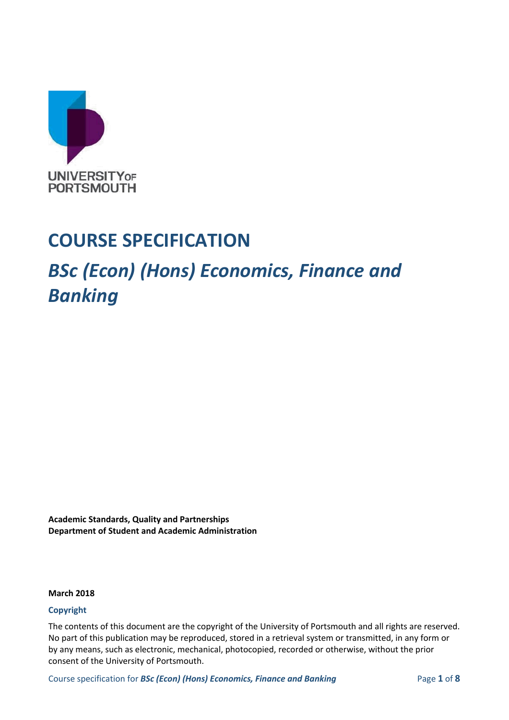

## **COURSE SPECIFICATION**

## *BSc (Econ) (Hons) Economics, Finance and Banking*

**Academic Standards, Quality and Partnerships Department of Student and Academic Administration**

#### **March 2018**

#### **Copyright**

The contents of this document are the copyright of the University of Portsmouth and all rights are reserved. No part of this publication may be reproduced, stored in a retrieval system or transmitted, in any form or by any means, such as electronic, mechanical, photocopied, recorded or otherwise, without the prior consent of the University of Portsmouth.

Course specification for *BSc (Econ) (Hons) Economics, Finance and Banking* Page 1 of 8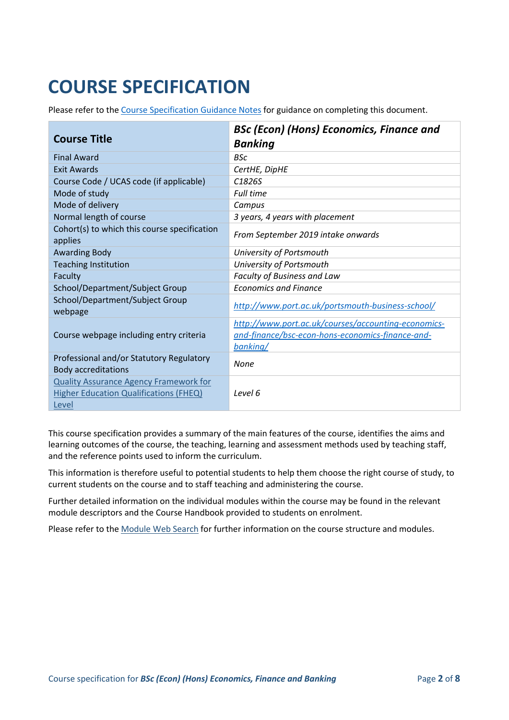# **COURSE SPECIFICATION**

Please refer to the [Course Specification Guidance Notes](http://www.port.ac.uk/departments/services/academicregistry/qmd/curriculum-framework-2019-20/filetodownload,201767,en.docx) for guidance on completing this document.

|                                                                                                         | <b>BSc (Econ) (Hons) Economics, Finance and</b>                                                                     |  |
|---------------------------------------------------------------------------------------------------------|---------------------------------------------------------------------------------------------------------------------|--|
| <b>Course Title</b>                                                                                     | <b>Banking</b>                                                                                                      |  |
| <b>Final Award</b>                                                                                      | <b>BSc</b>                                                                                                          |  |
| <b>Exit Awards</b>                                                                                      | CertHE, DipHE                                                                                                       |  |
| Course Code / UCAS code (if applicable)                                                                 | C <sub>1826</sub> S                                                                                                 |  |
| Mode of study                                                                                           | <b>Full time</b>                                                                                                    |  |
| Mode of delivery                                                                                        | Campus                                                                                                              |  |
| Normal length of course                                                                                 | 3 years, 4 years with placement                                                                                     |  |
| Cohort(s) to which this course specification<br>applies                                                 | From September 2019 intake onwards                                                                                  |  |
| <b>Awarding Body</b>                                                                                    | University of Portsmouth                                                                                            |  |
| <b>Teaching Institution</b>                                                                             | University of Portsmouth                                                                                            |  |
| Faculty                                                                                                 | Faculty of Business and Law                                                                                         |  |
| School/Department/Subject Group                                                                         | <b>Economics and Finance</b>                                                                                        |  |
| School/Department/Subject Group<br>webpage                                                              | http://www.port.ac.uk/portsmouth-business-school/                                                                   |  |
| Course webpage including entry criteria                                                                 | http://www.port.ac.uk/courses/accounting-economics-<br>and-finance/bsc-econ-hons-economics-finance-and-<br>banking/ |  |
| Professional and/or Statutory Regulatory<br><b>Body accreditations</b>                                  | None                                                                                                                |  |
| <b>Quality Assurance Agency Framework for</b><br><b>Higher Education Qualifications (FHEQ)</b><br>Level | Level 6                                                                                                             |  |

This course specification provides a summary of the main features of the course, identifies the aims and learning outcomes of the course, the teaching, learning and assessment methods used by teaching staff, and the reference points used to inform the curriculum.

This information is therefore useful to potential students to help them choose the right course of study, to current students on the course and to staff teaching and administering the course.

Further detailed information on the individual modules within the course may be found in the relevant module descriptors and the Course Handbook provided to students on enrolment.

Please refer to the [Module Web Search](https://register.port.ac.uk/ords/f?p=111:1:0:::::) for further information on the course structure and modules.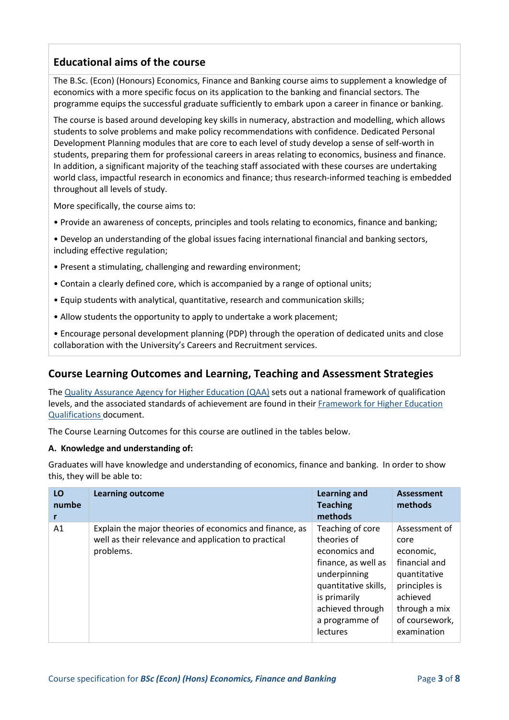## **Educational aims of the course**

The B.Sc. (Econ) (Honours) Economics, Finance and Banking course aims to supplement a knowledge of economics with a more specific focus on its application to the banking and financial sectors. The programme equips the successful graduate sufficiently to embark upon a career in finance or banking.

The course is based around developing key skills in numeracy, abstraction and modelling, which allows students to solve problems and make policy recommendations with confidence. Dedicated Personal Development Planning modules that are core to each level of study develop a sense of self-worth in students, preparing them for professional careers in areas relating to economics, business and finance. In addition, a significant majority of the teaching staff associated with these courses are undertaking world class, impactful research in economics and finance; thus research-informed teaching is embedded throughout all levels of study.

More specifically, the course aims to:

• Provide an awareness of concepts, principles and tools relating to economics, finance and banking;

• Develop an understanding of the global issues facing international financial and banking sectors, including effective regulation;

- Present a stimulating, challenging and rewarding environment;
- Contain a clearly defined core, which is accompanied by a range of optional units;
- Equip students with analytical, quantitative, research and communication skills;
- Allow students the opportunity to apply to undertake a work placement;

• Encourage personal development planning (PDP) through the operation of dedicated units and close collaboration with the University's Careers and Recruitment services.

## **Course Learning Outcomes and Learning, Teaching and Assessment Strategies**

The [Quality Assurance Agency for Higher Education \(QAA\)](http://www.qaa.ac.uk/en) sets out a national framework of qualification levels, and the associated standards of achievement are found in their [Framework for Higher Education](http://www.qaa.ac.uk/publications/information-and-guidance/publication/?PubID=2718#.WpmPXWrFL3i)  [Qualifications](http://www.qaa.ac.uk/publications/information-and-guidance/publication/?PubID=2718#.WpmPXWrFL3i) document.

The Course Learning Outcomes for this course are outlined in the tables below.

#### **A. Knowledge and understanding of:**

Graduates will have knowledge and understanding of economics, finance and banking. In order to show this, they will be able to:

| LO<br>numbe | <b>Learning outcome</b>                                                                                                      | <b>Learning and</b><br><b>Teaching</b><br>methods                                                                                                                                        | Assessment<br>methods                                                                                                                              |
|-------------|------------------------------------------------------------------------------------------------------------------------------|------------------------------------------------------------------------------------------------------------------------------------------------------------------------------------------|----------------------------------------------------------------------------------------------------------------------------------------------------|
| A1          | Explain the major theories of economics and finance, as<br>well as their relevance and application to practical<br>problems. | Teaching of core<br>theories of<br>economics and<br>finance, as well as<br>underpinning<br>quantitative skills,<br>is primarily<br>achieved through<br>a programme of<br><b>lectures</b> | Assessment of<br>core<br>economic,<br>financial and<br>quantitative<br>principles is<br>achieved<br>through a mix<br>of coursework,<br>examination |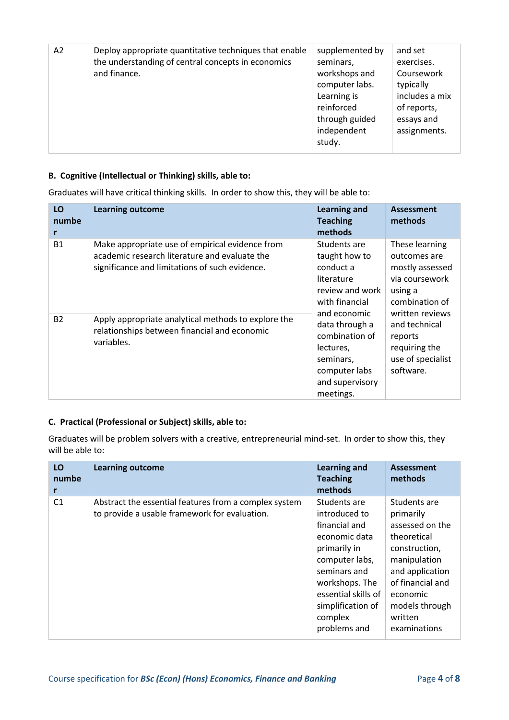| A2 | Deploy appropriate quantitative techniques that enable<br>the understanding of central concepts in economics<br>and finance. | supplemented by<br>seminars,<br>workshops and<br>computer labs.<br>Learning is<br>reinforced | and set<br>exercises.<br>Coursework<br>typically<br>includes a mix<br>of reports, |
|----|------------------------------------------------------------------------------------------------------------------------------|----------------------------------------------------------------------------------------------|-----------------------------------------------------------------------------------|
|    |                                                                                                                              | through guided<br>independent<br>study.                                                      | essays and<br>assignments.                                                        |

#### **B. Cognitive (Intellectual or Thinking) skills, able to:**

Graduates will have critical thinking skills. In order to show this, they will be able to:

| LO<br>numbe | <b>Learning outcome</b>                                                                                                                            | <b>Learning and</b><br><b>Teaching</b><br>methods                                                                                                                                                                            | <b>Assessment</b><br>methods                                                                     |
|-------------|----------------------------------------------------------------------------------------------------------------------------------------------------|------------------------------------------------------------------------------------------------------------------------------------------------------------------------------------------------------------------------------|--------------------------------------------------------------------------------------------------|
| <b>B1</b>   | Make appropriate use of empirical evidence from<br>academic research literature and evaluate the<br>significance and limitations of such evidence. | Students are<br>taught how to<br>conduct a<br>literature<br>review and work<br>with financial<br>and economic<br>data through a<br>combination of<br>lectures,<br>seminars,<br>computer labs<br>and supervisory<br>meetings. | These learning<br>outcomes are<br>mostly assessed<br>via coursework<br>using a<br>combination of |
| <b>B2</b>   | Apply appropriate analytical methods to explore the<br>relationships between financial and economic<br>variables.                                  |                                                                                                                                                                                                                              | written reviews<br>and technical<br>reports<br>requiring the<br>use of specialist<br>software.   |

#### **C. Practical (Professional or Subject) skills, able to:**

Graduates will be problem solvers with a creative, entrepreneurial mind-set. In order to show this, they will be able to:

| LO<br>numbe<br>r | <b>Learning outcome</b>                                                                                | <b>Learning and</b><br><b>Teaching</b><br>methods                                                                                                                                                          | <b>Assessment</b><br>methods                                                                                                                                                                 |
|------------------|--------------------------------------------------------------------------------------------------------|------------------------------------------------------------------------------------------------------------------------------------------------------------------------------------------------------------|----------------------------------------------------------------------------------------------------------------------------------------------------------------------------------------------|
| C <sub>1</sub>   | Abstract the essential features from a complex system<br>to provide a usable framework for evaluation. | Students are<br>introduced to<br>financial and<br>economic data<br>primarily in<br>computer labs,<br>seminars and<br>workshops. The<br>essential skills of<br>simplification of<br>complex<br>problems and | Students are<br>primarily<br>assessed on the<br>theoretical<br>construction,<br>manipulation<br>and application<br>of financial and<br>economic<br>models through<br>written<br>examinations |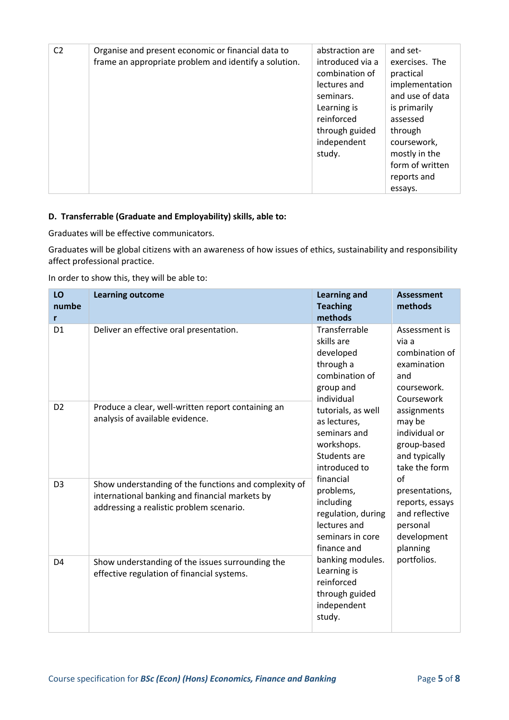| C <sub>2</sub> | Organise and present economic or financial data to<br>frame an appropriate problem and identify a solution. | abstraction are<br>introduced via a<br>combination of<br>lectures and<br>seminars.<br>Learning is<br>reinforced<br>through guided<br>independent<br>study. | and set-<br>exercises. The<br>practical<br>implementation<br>and use of data<br>is primarily<br>assessed<br>through<br>coursework,<br>mostly in the<br>form of written<br>reports and<br>essays. |
|----------------|-------------------------------------------------------------------------------------------------------------|------------------------------------------------------------------------------------------------------------------------------------------------------------|--------------------------------------------------------------------------------------------------------------------------------------------------------------------------------------------------|
|----------------|-------------------------------------------------------------------------------------------------------------|------------------------------------------------------------------------------------------------------------------------------------------------------------|--------------------------------------------------------------------------------------------------------------------------------------------------------------------------------------------------|

#### **D. Transferrable (Graduate and Employability) skills, able to:**

Graduates will be effective communicators.

Graduates will be global citizens with an awareness of how issues of ethics, sustainability and responsibility affect professional practice.

In order to show this, they will be able to:

| LO<br>numbe<br>r | <b>Learning outcome</b>                                                                                                                             | <b>Learning and</b><br><b>Teaching</b><br>methods                                                               | <b>Assessment</b><br>methods                                                                          |
|------------------|-----------------------------------------------------------------------------------------------------------------------------------------------------|-----------------------------------------------------------------------------------------------------------------|-------------------------------------------------------------------------------------------------------|
| D <sub>1</sub>   | Deliver an effective oral presentation.                                                                                                             | Transferrable<br>skills are<br>developed<br>through a<br>combination of<br>group and                            | Assessment is<br>via a<br>combination of<br>examination<br>and<br>coursework.                         |
| D <sub>2</sub>   | Produce a clear, well-written report containing an<br>analysis of available evidence.                                                               | individual<br>tutorials, as well<br>as lectures,<br>seminars and<br>workshops.<br>Students are<br>introduced to | Coursework<br>assignments<br>may be<br>individual or<br>group-based<br>and typically<br>take the form |
| D <sub>3</sub>   | Show understanding of the functions and complexity of<br>international banking and financial markets by<br>addressing a realistic problem scenario. | financial<br>problems,<br>including<br>regulation, during<br>lectures and<br>seminars in core<br>finance and    | of<br>presentations,<br>reports, essays<br>and reflective<br>personal<br>development<br>planning      |
| D <sub>4</sub>   | Show understanding of the issues surrounding the<br>effective regulation of financial systems.                                                      | banking modules.<br>Learning is<br>reinforced<br>through guided<br>independent<br>study.                        | portfolios.                                                                                           |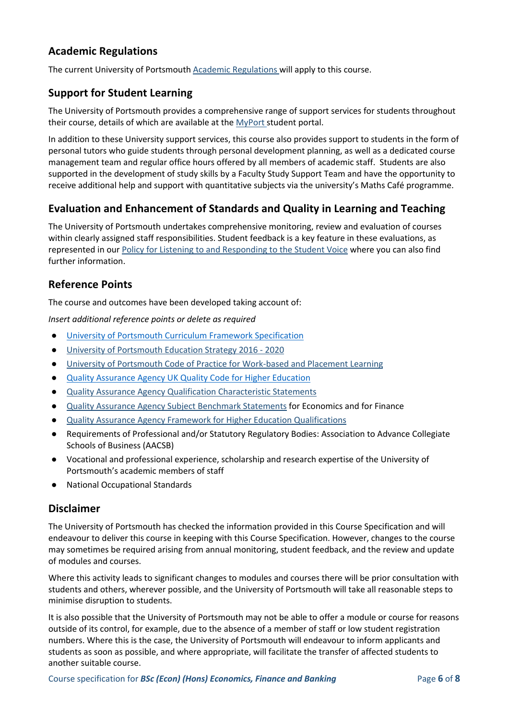## **Academic Regulations**

The current University of Portsmouth [Academic Regulations](http://www.port.ac.uk/departments/services/academicregistry/qmd/assessmentandregulations/) will apply to this course.

## **Support for Student Learning**

The University of Portsmouth provides a comprehensive range of support services for students throughout their course, details of which are available at the [MyPort](http://myport.ac.uk/) student portal.

In addition to these University support services, this course also provides support to students in the form of personal tutors who guide students through personal development planning, as well as a dedicated course management team and regular office hours offered by all members of academic staff. Students are also supported in the development of study skills by a Faculty Study Support Team and have the opportunity to receive additional help and support with quantitative subjects via the university's Maths Café programme.

## **Evaluation and Enhancement of Standards and Quality in Learning and Teaching**

The University of Portsmouth undertakes comprehensive monitoring, review and evaluation of courses within clearly assigned staff responsibilities. Student feedback is a key feature in these evaluations, as represented in our [Policy for Listening to and Responding to the Student Voice](http://policies.docstore.port.ac.uk/policy-069.pdf) where you can also find further information.

### **Reference Points**

The course and outcomes have been developed taking account of:

*Insert additional reference points or delete as required*

- [University of Portsmouth Curriculum Framework Specification](http://www.port.ac.uk/departments/services/academicregistry/qmd/curriculum-framework-2019-20/filetodownload,201776,en.pdf)
- [University of Portsmouth Education Strategy 2016 -](http://policies.docstore.port.ac.uk/policy-187.pdf) 2020
- [University of Portsmouth Code of Practice for Work-based and Placement Learning](http://policies.docstore.port.ac.uk/policy-151.pdf)
- [Quality Assurance Agency UK Quality Code for Higher Education](http://www.qaa.ac.uk/assuring-standards-and-quality/the-quality-code/)
- [Quality Assurance Agency Qualification Characteristic Statements](http://www.qaa.ac.uk/assuring-standards-and-quality/the-quality-code/characteristics-statements)
- [Quality Assurance Agency Subject Benchmark Statements](http://www.qaa.ac.uk/assuring-standards-and-quality/the-quality-code/subject-benchmark-statements) for Economics and for Finance
- [Quality Assurance Agency Framework for Higher Education Qualifications](http://www.qaa.ac.uk/publications/information-and-guidance/publication/?PubID=2718#.WpnZNmrFL3j)
- Requirements of Professional and/or Statutory Regulatory Bodies: Association to Advance Collegiate Schools of Business (AACSB)
- Vocational and professional experience, scholarship and research expertise of the University of Portsmouth's academic members of staff
- **National Occupational Standards**

#### **Disclaimer**

The University of Portsmouth has checked the information provided in this Course Specification and will endeavour to deliver this course in keeping with this Course Specification. However, changes to the course may sometimes be required arising from annual monitoring, student feedback, and the review and update of modules and courses.

Where this activity leads to significant changes to modules and courses there will be prior consultation with students and others, wherever possible, and the University of Portsmouth will take all reasonable steps to minimise disruption to students.

It is also possible that the University of Portsmouth may not be able to offer a module or course for reasons outside of its control, for example, due to the absence of a member of staff or low student registration numbers. Where this is the case, the University of Portsmouth will endeavour to inform applicants and students as soon as possible, and where appropriate, will facilitate the transfer of affected students to another suitable course.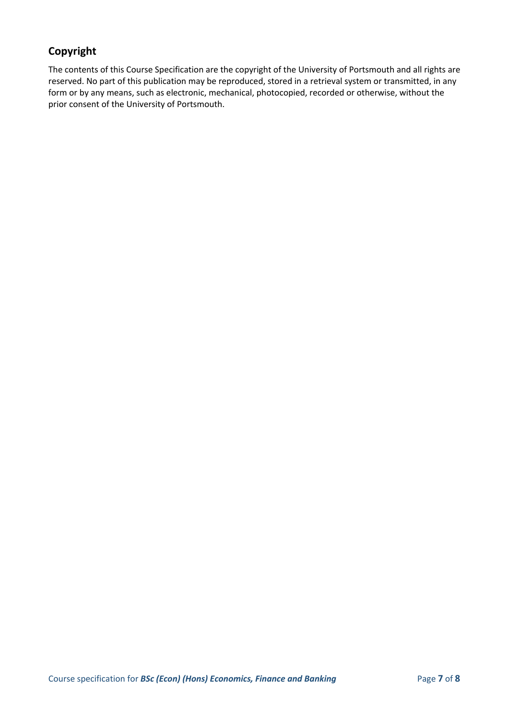## **Copyright**

The contents of this Course Specification are the copyright of the University of Portsmouth and all rights are reserved. No part of this publication may be reproduced, stored in a retrieval system or transmitted, in any form or by any means, such as electronic, mechanical, photocopied, recorded or otherwise, without the prior consent of the University of Portsmouth.